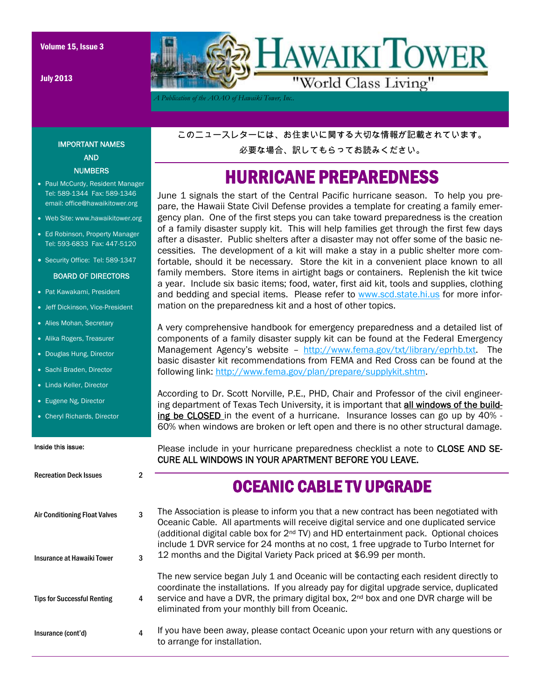July 2013



*A Publication of the AOAO of Hawaiki Tower, Inc..* 

#### IMPORTANT NAMES AND **NUMBERS**

- Paul McCurdy, Resident Manager Tel: 589-1344 Fax: 589-1346 email: office@hawaikitower.org
- Web Site: www.hawaikitower.org
- Ed Robinson, Property Manager Tel: 593-6833 Fax: 447-5120
- Security Office: Tel: 589-1347

#### BOARD OF DIRECTORS

- Pat Kawakami, President
- Jeff Dickinson, Vice-President
- Alies Mohan, Secretary
- Alika Rogers, Treasurer
- Douglas Hung, Director
- Sachi Braden, Director
- Linda Keller, Director
- Eugene Ng, Director
- Cheryl Richards, Director

#### Inside this issue:

#### Recreation Deck Issues 2 Air Conditioning Float Valves 3 Insurance at Hawaiki Tower 3 Tips for Successful Renting 4 Insurance (cont'd) 4 The Association is please to inform you that a new contract has been negotiated with Oceanic Cable. All apartments will receive digital service and one duplicated service (additional digital cable box for  $2^{nd}$  TV) and HD entertainment pack. Optional choices include 1 DVR service for 24 months at no cost, 1 free upgrade to Turbo Internet for 12 months and the Digital Variety Pack priced at \$6.99 per month. The new service began July 1 and Oceanic will be contacting each resident directly to coordinate the installations. If you already pay for digital upgrade service, duplicated service and have a DVR, the primary digital box,  $2<sup>nd</sup>$  box and one DVR charge will be eliminated from your monthly bill from Oceanic. If you have been away, please contact Oceanic upon your return with any questions or to arrange for installation. OCEANIC CABLE TV UPGRADE

このニュースレターには、お住まいに関する大切な情報が記載されています。

### HURRICANE PREPAREDNESS

June 1 signals the start of the Central Pacific hurricane season. To help you prepare, the Hawaii State Civil Defense provides a template for creating a family emergency plan. One of the first steps you can take toward preparedness is the creation of a family disaster supply kit. This will help families get through the first few days after a disaster. Public shelters after a disaster may not offer some of the basic necessities. The development of a kit will make a stay in a public shelter more comfortable, should it be necessary. Store the kit in a convenient place known to all family members. Store items in airtight bags or containers. Replenish the kit twice a year. Include six basic items; food, water, first aid kit, tools and supplies, clothing and bedding and special items. Please refer to www.scd.state.hi.us for more information on the preparedness kit and a host of other topics.

A very comprehensive handbook for emergency preparedness and a detailed list of components of a family disaster supply kit can be found at the Federal Emergency Management Agency's website - http://www.fema.gov/txt/library/eprhb.txt. The basic disaster kit recommendations from FEMA and Red Cross can be found at the following link: http://www.fema.gov/plan/prepare/supplykit.shtm.

According to Dr. Scott Norville, P.E., PHD, Chair and Professor of the civil engineering department of Texas Tech University, it is important that all windows of the building be CLOSED in the event of a hurricane. Insurance losses can go up by 40% -60% when windows are broken or left open and there is no other structural damage.

Please include in your hurricane preparedness checklist a note to CLOSE AND SE-CURE ALL WINDOWS IN YOUR APARTMENT BEFORE YOU LEAVE.

必要な場合、訳してもらってお読みください。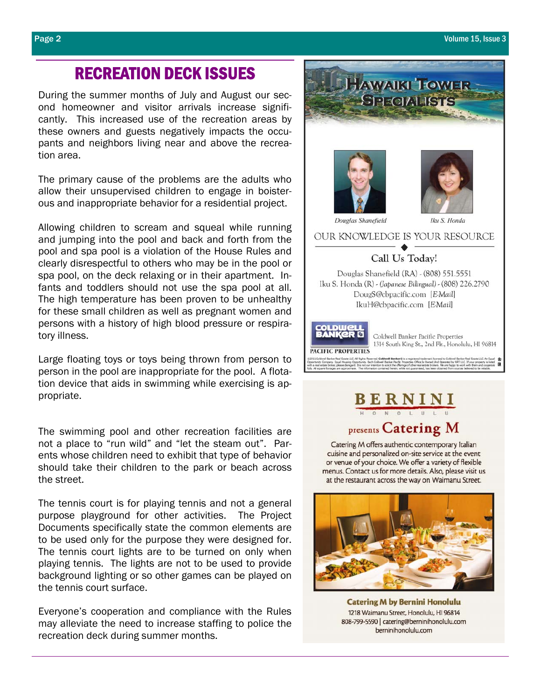### RECREATION DECK ISSUES

During the summer months of July and August our second homeowner and visitor arrivals increase significantly. This increased use of the recreation areas by these owners and guests negatively impacts the occupants and neighbors living near and above the recreation area.

The primary cause of the problems are the adults who allow their unsupervised children to engage in boisterous and inappropriate behavior for a residential project.

Allowing children to scream and squeal while running and jumping into the pool and back and forth from the pool and spa pool is a violation of the House Rules and clearly disrespectful to others who may be in the pool or spa pool, on the deck relaxing or in their apartment. Infants and toddlers should not use the spa pool at all. The high temperature has been proven to be unhealthy for these small children as well as pregnant women and persons with a history of high blood pressure or respiratory illness.

Large floating toys or toys being thrown from person to person in the pool are inappropriate for the pool. A flotation device that aids in swimming while exercising is appropriate.

The swimming pool and other recreation facilities are not a place to "run wild" and "let the steam out". Parents whose children need to exhibit that type of behavior should take their children to the park or beach across the street.

The tennis court is for playing tennis and not a general purpose playground for other activities. The Project Documents specifically state the common elements are to be used only for the purpose they were designed for. The tennis court lights are to be turned on only when playing tennis. The lights are not to be used to provide background lighting or so other games can be played on the tennis court surface.

Everyone's cooperation and compliance with the Rules may alleviate the need to increase staffing to police the recreation deck during summer months.



HAWAIKI TOWER **SPECIALISTS** 

# **BERNINI**

### presents Catering M

Catering M offers authentic contemporary Italian cuisine and personalized on-site service at the event or venue of your choice. We offer a variety of flexible menus. Contact us for more details. Also, please visit us at the restaurant across the way on Waimanu Street.



**Catering M by Bernini Honolulu** 1218 Waimanu Street, Honolulu, HI 96814 808-799-5590 | catering@berninihonolulu.com berninihonolulu.com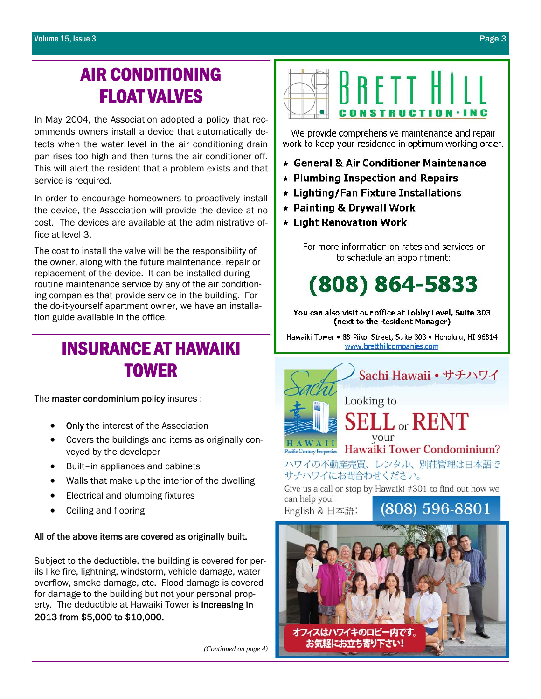## AIR CONDITIONING FLOAT VALVES

In May 2004, the Association adopted a policy that recommends owners install a device that automatically detects when the water level in the air conditioning drain pan rises too high and then turns the air conditioner off. This will alert the resident that a problem exists and that service is required.

In order to encourage homeowners to proactively install the device, the Association will provide the device at no cost. The devices are available at the administrative office at level 3.

The cost to install the valve will be the responsibility of the owner, along with the future maintenance, repair or replacement of the device. It can be installed during routine maintenance service by any of the air conditioning companies that provide service in the building. For the do-it-yourself apartment owner, we have an installation guide available in the office.

### INSURANCE AT HAWAIKI TOWER

The master condominium policy insures :

- Only the interest of the Association
- Covers the buildings and items as originally conveyed by the developer
- Built–in appliances and cabinets
- Walls that make up the interior of the dwelling
- Electrical and plumbing fixtures
- Ceiling and flooring

#### All of the above items are covered as originally built.

Subject to the deductible, the building is covered for perils like fire, lightning, windstorm, vehicle damage, water overflow, smoke damage, etc. Flood damage is covered for damage to the building but not your personal property. The deductible at Hawaiki Tower is increasing in 2013 from \$5,000 to \$10,000.

*(Continued on page 4)* 



We provide comprehensive maintenance and repair work to keep your residence in optimum working order.

- ★ General & Air Conditioner Maintenance
- $\star$  Plumbing Inspection and Repairs
- \* Lighting/Fan Fixture Installations
- \* Painting & Drywall Work
- $\star$  Light Renovation Work

For more information on rates and services or to schedule an appointment:

 $(808) 864 - 5833$ 

You can also visit our office at Lobby Level, Suite 303 (next to the Resident Manager)

Hawaiki Tower • 88 Piikoi Street, Suite 303 • Honolulu, HI 96814 www.bretthillcompanies.com